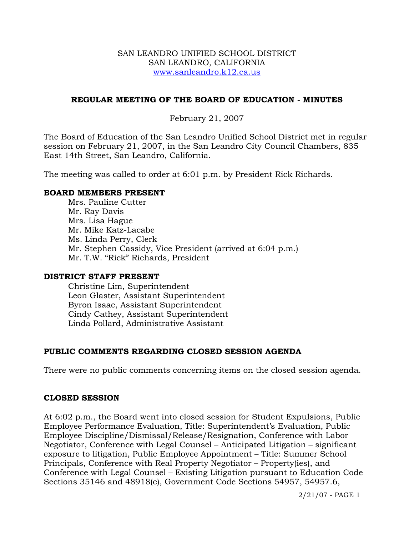#### SAN LEANDRO UNIFIED SCHOOL DISTRICT SAN LEANDRO, CALIFORNIA www.sanleandro.k12.ca.us

### **REGULAR MEETING OF THE BOARD OF EDUCATION - MINUTES**

# February 21, 2007

The Board of Education of the San Leandro Unified School District met in regular session on February 21, 2007, in the San Leandro City Council Chambers, 835 East 14th Street, San Leandro, California.

The meeting was called to order at 6:01 p.m. by President Rick Richards.

### **BOARD MEMBERS PRESENT**

Mrs. Pauline Cutter Mr. Ray Davis Mrs. Lisa Hague Mr. Mike Katz-Lacabe Ms. Linda Perry, Clerk Mr. Stephen Cassidy, Vice President (arrived at 6:04 p.m.) Mr. T.W. "Rick" Richards, President

#### **DISTRICT STAFF PRESENT**

Christine Lim, Superintendent Leon Glaster, Assistant Superintendent Byron Isaac, Assistant Superintendent Cindy Cathey, Assistant Superintendent Linda Pollard, Administrative Assistant

# **PUBLIC COMMENTS REGARDING CLOSED SESSION AGENDA**

There were no public comments concerning items on the closed session agenda.

#### **CLOSED SESSION**

At 6:02 p.m., the Board went into closed session for Student Expulsions, Public Employee Performance Evaluation, Title: Superintendent's Evaluation, Public Employee Discipline/Dismissal/Release/Resignation, Conference with Labor Negotiator, Conference with Legal Counsel – Anticipated Litigation – significant exposure to litigation, Public Employee Appointment – Title: Summer School Principals, Conference with Real Property Negotiator – Property(ies), and Conference with Legal Counsel – Existing Litigation pursuant to Education Code Sections 35146 and 48918(c), Government Code Sections 54957, 54957.6,

2/21/07 - PAGE 1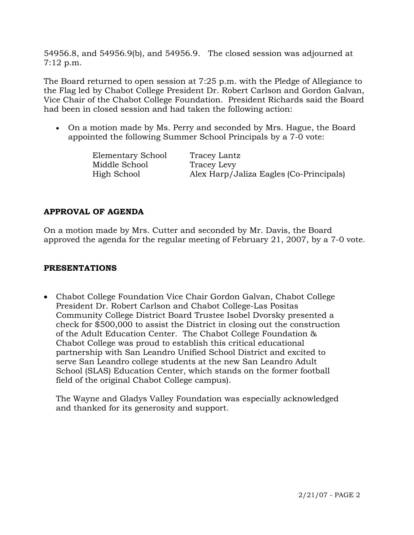54956.8, and 54956.9(b), and 54956.9. The closed session was adjourned at 7:12 p.m.

The Board returned to open session at 7:25 p.m. with the Pledge of Allegiance to the Flag led by Chabot College President Dr. Robert Carlson and Gordon Galvan, Vice Chair of the Chabot College Foundation. President Richards said the Board had been in closed session and had taken the following action:

• On a motion made by Ms. Perry and seconded by Mrs. Hague, the Board appointed the following Summer School Principals by a 7-0 vote:

| Elementary School | Tracey Lantz                            |
|-------------------|-----------------------------------------|
| Middle School     | Tracey Levy                             |
| High School       | Alex Harp/Jaliza Eagles (Co-Principals) |

# **APPROVAL OF AGENDA**

On a motion made by Mrs. Cutter and seconded by Mr. Davis, the Board approved the agenda for the regular meeting of February 21, 2007, by a 7-0 vote.

# **PRESENTATIONS**

• Chabot College Foundation Vice Chair Gordon Galvan, Chabot College President Dr. Robert Carlson and Chabot College-Las Positas Community College District Board Trustee Isobel Dvorsky presented a check for \$500,000 to assist the District in closing out the construction of the Adult Education Center. The Chabot College Foundation & Chabot College was proud to establish this critical educational partnership with San Leandro Unified School District and excited to serve San Leandro college students at the new San Leandro Adult School (SLAS) Education Center, which stands on the former football field of the original Chabot College campus).

 The Wayne and Gladys Valley Foundation was especially acknowledged and thanked for its generosity and support.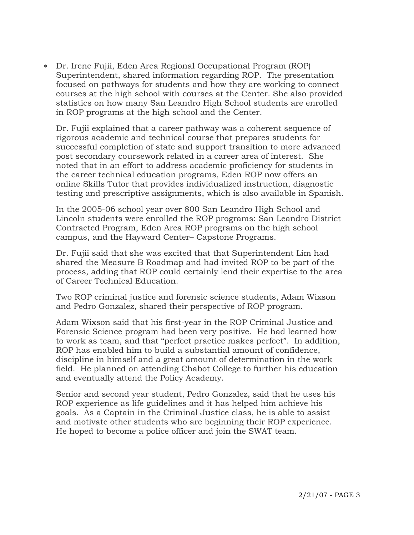∗ Dr. Irene Fujii, Eden Area Regional Occupational Program (ROP) Superintendent, shared information regarding ROP. The presentation focused on pathways for students and how they are working to connect courses at the high school with courses at the Center. She also provided statistics on how many San Leandro High School students are enrolled in ROP programs at the high school and the Center.

Dr. Fujii explained that a career pathway was a coherent sequence of rigorous academic and technical course that prepares students for successful completion of state and support transition to more advanced post secondary coursework related in a career area of interest. She noted that in an effort to address academic proficiency for students in the career technical education programs, Eden ROP now offers an online Skills Tutor that provides individualized instruction, diagnostic testing and prescriptive assignments, which is also available in Spanish.

In the 2005-06 school year over 800 San Leandro High School and Lincoln students were enrolled the ROP programs: San Leandro District Contracted Program, Eden Area ROP programs on the high school campus, and the Hayward Center– Capstone Programs.

Dr. Fujii said that she was excited that that Superintendent Lim had shared the Measure B Roadmap and had invited ROP to be part of the process, adding that ROP could certainly lend their expertise to the area of Career Technical Education.

Two ROP criminal justice and forensic science students, Adam Wixson and Pedro Gonzalez, shared their perspective of ROP program.

Adam Wixson said that his first-year in the ROP Criminal Justice and Forensic Science program had been very positive. He had learned how to work as team, and that "perfect practice makes perfect". In addition, ROP has enabled him to build a substantial amount of confidence, discipline in himself and a great amount of determination in the work field. He planned on attending Chabot College to further his education and eventually attend the Policy Academy.

Senior and second year student, Pedro Gonzalez, said that he uses his ROP experience as life guidelines and it has helped him achieve his goals. As a Captain in the Criminal Justice class, he is able to assist and motivate other students who are beginning their ROP experience. He hoped to become a police officer and join the SWAT team.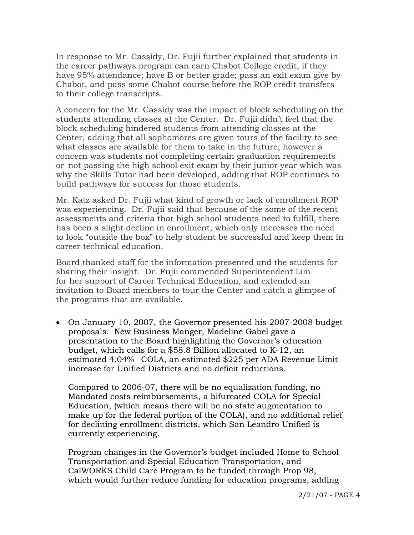In response to Mr. Cassidy, Dr. Fujii further explained that students in the career pathways program can earn Chabot College credit, if they have 95% attendance; have B or better grade; pass an exit exam give by Chabot, and pass some Chabot course before the ROP credit transfers to their college transcripts.

 A concern for the Mr. Cassidy was the impact of block scheduling on the students attending classes at the Center. Dr. Fujii didn't feel that the block scheduling hindered students from attending classes at the Center, adding that all sophomores are given tours of the facility to see what classes are available for them to take in the future; however a concern was students not completing certain graduation requirements or not passing the high school exit exam by their junior year which was why the Skills Tutor had been developed, adding that ROP continues to build pathways for success for those students.

 Mr. Katz asked Dr. Fujii what kind of growth or lack of enrollment ROP was experiencing. Dr. Fujii said that because of the some of the recent assessments and criteria that high school students need to fulfill, there has been a slight decline in enrollment, which only increases the need to look "outside the box" to help student be successful and keep them in career technical education.

 Board thanked staff for the information presented and the students for sharing their insight. Dr. Fujii commended Superintendent Lim for her support of Career Technical Education, and extended an invitation to Board members to tour the Center and catch a glimpse of the programs that are available.

• On January 10, 2007, the Governor presented his 2007-2008 budget proposals. New Business Manger, Madeline Gabel gave a presentation to the Board highlighting the Governor's education budget, which calls for a \$58.8 Billion allocated to K-12, an estimated 4.04% COLA, an estimated \$225 per ADA Revenue Limit increase for Unified Districts and no deficit reductions.

 Compared to 2006-07, there will be no equalization funding, no Mandated costs reimbursements, a bifurcated COLA for Special Education, (which means there will be no state augmentation to make up for the federal portion of the COLA), and no additional relief for declining enrollment districts, which San Leandro Unified is currently experiencing.

 Program changes in the Governor's budget included Home to School Transportation and Special Education Transportation, and CalWORKS Child Care Program to be funded through Prop 98, which would further reduce funding for education programs, adding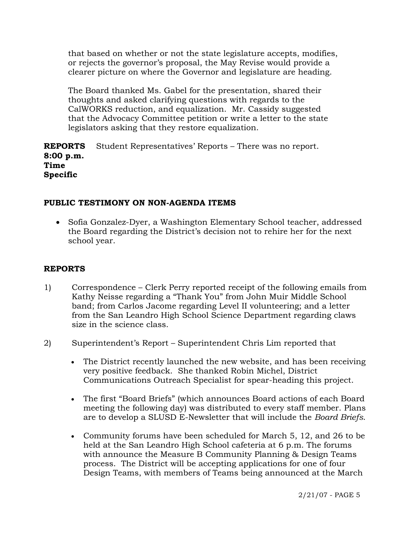that based on whether or not the state legislature accepts, modifies, or rejects the governor's proposal, the May Revise would provide a clearer picture on where the Governor and legislature are heading.

 The Board thanked Ms. Gabel for the presentation, shared their thoughts and asked clarifying questions with regards to the CalWORKS reduction, and equalization. Mr. Cassidy suggested that the Advocacy Committee petition or write a letter to the state legislators asking that they restore equalization.

**REPORTS 8:00 p.m. Time Specific**  Student Representatives' Reports – There was no report.

# **PUBLIC TESTIMONY ON NON-AGENDA ITEMS**

• Sofia Gonzalez-Dyer, a Washington Elementary School teacher, addressed the Board regarding the District's decision not to rehire her for the next school year.

#### **REPORTS**

- 1) Correspondence Clerk Perry reported receipt of the following emails from Kathy Neisse regarding a "Thank You" from John Muir Middle School band; from Carlos Jacome regarding Level II volunteering; and a letter from the San Leandro High School Science Department regarding claws size in the science class.
- 2) Superintendent's Report Superintendent Chris Lim reported that
	- The District recently launched the new website, and has been receiving very positive feedback. She thanked Robin Michel, District Communications Outreach Specialist for spear-heading this project.
	- The first "Board Briefs" (which announces Board actions of each Board meeting the following day) was distributed to every staff member. Plans are to develop a SLUSD E-Newsletter that will include the *Board Briefs*.
	- Community forums have been scheduled for March 5, 12, and 26 to be held at the San Leandro High School cafeteria at 6 p.m. The forums with announce the Measure B Community Planning & Design Teams process. The District will be accepting applications for one of four Design Teams, with members of Teams being announced at the March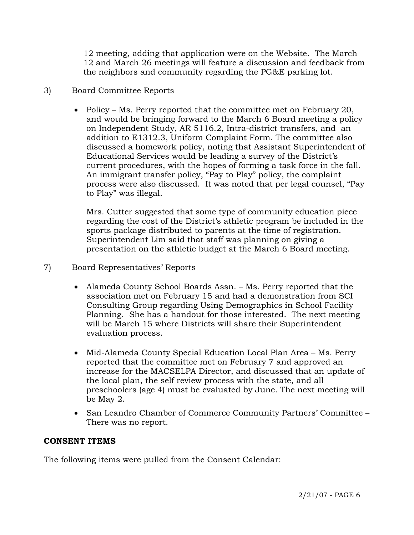12 meeting, adding that application were on the Website. The March 12 and March 26 meetings will feature a discussion and feedback from the neighbors and community regarding the PG&E parking lot.

# 3) Board Committee Reports

• Policy – Ms. Perry reported that the committee met on February 20, and would be bringing forward to the March 6 Board meeting a policy on Independent Study, AR 5116.2, Intra-district transfers, and an addition to E1312.3, Uniform Complaint Form. The committee also discussed a homework policy, noting that Assistant Superintendent of Educational Services would be leading a survey of the District's current procedures, with the hopes of forming a task force in the fall. An immigrant transfer policy, "Pay to Play" policy, the complaint process were also discussed. It was noted that per legal counsel, "Pay to Play" was illegal.

 Mrs. Cutter suggested that some type of community education piece regarding the cost of the District's athletic program be included in the sports package distributed to parents at the time of registration. Superintendent Lim said that staff was planning on giving a presentation on the athletic budget at the March 6 Board meeting.

# 7) Board Representatives' Reports

- Alameda County School Boards Assn. Ms. Perry reported that the association met on February 15 and had a demonstration from SCI Consulting Group regarding Using Demographics in School Facility Planning. She has a handout for those interested. The next meeting will be March 15 where Districts will share their Superintendent evaluation process.
- Mid-Alameda County Special Education Local Plan Area Ms. Perry reported that the committee met on February 7 and approved an increase for the MACSELPA Director, and discussed that an update of the local plan, the self review process with the state, and all preschoolers (age 4) must be evaluated by June. The next meeting will be May 2.
- San Leandro Chamber of Commerce Community Partners' Committee There was no report.

# **CONSENT ITEMS**

The following items were pulled from the Consent Calendar: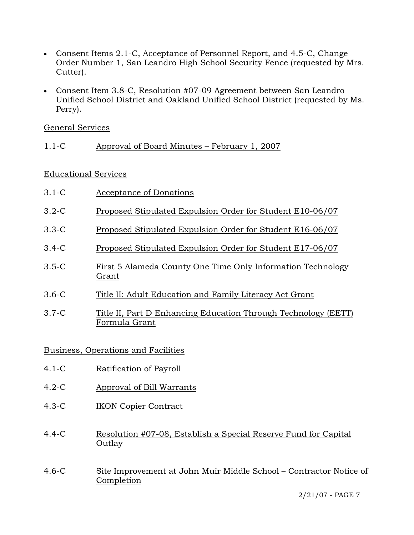- Consent Items 2.1-C, Acceptance of Personnel Report, and 4.5-C, Change Order Number 1, San Leandro High School Security Fence (requested by Mrs. Cutter).
- Consent Item 3.8-C, Resolution #07-09 Agreement between San Leandro Unified School District and Oakland Unified School District (requested by Ms. Perry).

General Services

1.1-C Approval of Board Minutes – February 1, 2007

Educational Services

| $3.1-C$               | Acceptance of Donations                                                         |
|-----------------------|---------------------------------------------------------------------------------|
| $3.2-C$               | Proposed Stipulated Expulsion Order for Student E10-06/07                       |
| $3.3 - C$             | Proposed Stipulated Expulsion Order for Student E16-06/07                       |
| $3.4-C$               | Proposed Stipulated Expulsion Order for Student E17-06/07                       |
| $3.5-C$               | First 5 Alameda County One Time Only Information Technology<br>Grant            |
| $3.6-C$               | Title II: Adult Education and Family Literacy Act Grant                         |
| $3.7-C$               | Title II, Part D Enhancing Education Through Technology (EETT)<br>Formula Grant |
| $\mathbf{\mathbf{r}}$ | $\sim$ $\sim$ $\sim$ $\sim$<br>$\blacksquare$<br>.                              |

Business, Operations and Facilities

- 4.1-C Ratification of Payroll
- 4.2-C Approval of Bill Warrants
- 4.3-C IKON Copier Contract
- 4.4-C Resolution #07-08, Establish a Special Reserve Fund for Capital Outlay
- 4.6-C Site Improvement at John Muir Middle School Contractor Notice of Completion

2/21/07 - PAGE 7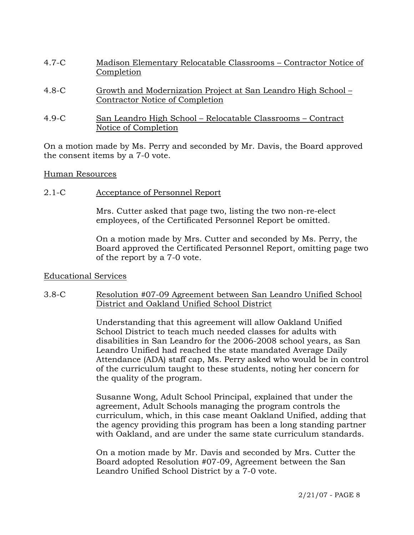- 4.7-C Madison Elementary Relocatable Classrooms Contractor Notice of Completion
- 4.8-C Growth and Modernization Project at San Leandro High School Contractor Notice of Completion
- 4.9-C San Leandro High School Relocatable Classrooms Contract Notice of Completion

On a motion made by Ms. Perry and seconded by Mr. Davis, the Board approved the consent items by a 7-0 vote.

#### Human Resources

2.1-C Acceptance of Personnel Report

Mrs. Cutter asked that page two, listing the two non-re-elect employees, of the Certificated Personnel Report be omitted.

On a motion made by Mrs. Cutter and seconded by Ms. Perry, the Board approved the Certificated Personnel Report, omitting page two of the report by a 7-0 vote.

#### Educational Services

#### 3.8-C Resolution #07-09 Agreement between San Leandro Unified School District and Oakland Unified School District

Understanding that this agreement will allow Oakland Unified School District to teach much needed classes for adults with disabilities in San Leandro for the 2006-2008 school years, as San Leandro Unified had reached the state mandated Average Daily Attendance (ADA) staff cap, Ms. Perry asked who would be in control of the curriculum taught to these students, noting her concern for the quality of the program.

Susanne Wong, Adult School Principal, explained that under the agreement, Adult Schools managing the program controls the curriculum, which, in this case meant Oakland Unified, adding that the agency providing this program has been a long standing partner with Oakland, and are under the same state curriculum standards.

On a motion made by Mr. Davis and seconded by Mrs. Cutter the Board adopted Resolution #07-09, Agreement between the San Leandro Unified School District by a 7-0 vote.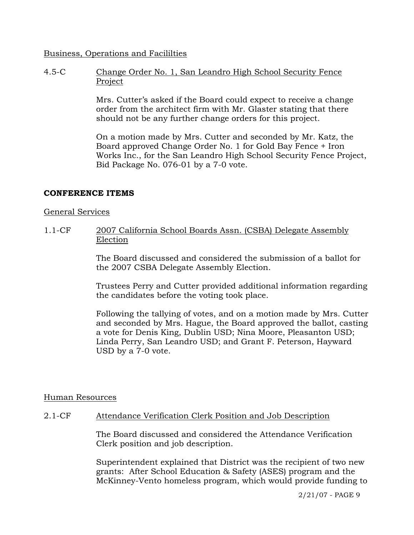#### Business, Operations and Facililties

4.5-C Change Order No. 1, San Leandro High School Security Fence Project

> Mrs. Cutter's asked if the Board could expect to receive a change order from the architect firm with Mr. Glaster stating that there should not be any further change orders for this project.

On a motion made by Mrs. Cutter and seconded by Mr. Katz, the Board approved Change Order No. 1 for Gold Bay Fence + Iron Works Inc., for the San Leandro High School Security Fence Project, Bid Package No. 076-01 by a 7-0 vote.

# **CONFERENCE ITEMS**

#### General Services

1.1-CF 2007 California School Boards Assn. (CSBA) Delegate Assembly Election

> The Board discussed and considered the submission of a ballot for the 2007 CSBA Delegate Assembly Election.

Trustees Perry and Cutter provided additional information regarding the candidates before the voting took place.

Following the tallying of votes, and on a motion made by Mrs. Cutter and seconded by Mrs. Hague, the Board approved the ballot, casting a vote for Denis King, Dublin USD; Nina Moore, Pleasanton USD; Linda Perry, San Leandro USD; and Grant F. Peterson, Hayward USD by a 7-0 vote.

#### Human Resources

# 2.1-CF Attendance Verification Clerk Position and Job Description

The Board discussed and considered the Attendance Verification Clerk position and job description.

Superintendent explained that District was the recipient of two new grants: After School Education & Safety (ASES) program and the McKinney-Vento homeless program, which would provide funding to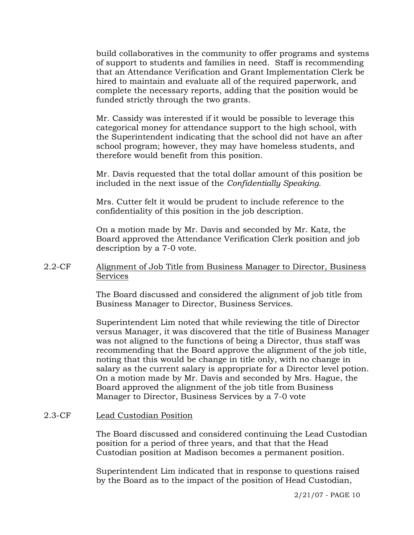build collaboratives in the community to offer programs and systems of support to students and families in need. Staff is recommending that an Attendance Verification and Grant Implementation Clerk be hired to maintain and evaluate all of the required paperwork, and complete the necessary reports, adding that the position would be funded strictly through the two grants.

Mr. Cassidy was interested if it would be possible to leverage this categorical money for attendance support to the high school, with the Superintendent indicating that the school did not have an after school program; however, they may have homeless students, and therefore would benefit from this position.

Mr. Davis requested that the total dollar amount of this position be included in the next issue of the *Confidentially Speaking*.

Mrs. Cutter felt it would be prudent to include reference to the confidentiality of this position in the job description.

On a motion made by Mr. Davis and seconded by Mr. Katz, the Board approved the Attendance Verification Clerk position and job description by a 7-0 vote.

### 2.2-CF Alignment of Job Title from Business Manager to Director, Business **Services**

The Board discussed and considered the alignment of job title from Business Manager to Director, Business Services.

Superintendent Lim noted that while reviewing the title of Director versus Manager, it was discovered that the title of Business Manager was not aligned to the functions of being a Director, thus staff was recommending that the Board approve the alignment of the job title, noting that this would be change in title only, with no change in salary as the current salary is appropriate for a Director level potion. On a motion made by Mr. Davis and seconded by Mrs. Hague, the Board approved the alignment of the job title from Business Manager to Director, Business Services by a 7-0 vote

#### 2.3-CF Lead Custodian Position

The Board discussed and considered continuing the Lead Custodian position for a period of three years, and that that the Head Custodian position at Madison becomes a permanent position.

Superintendent Lim indicated that in response to questions raised by the Board as to the impact of the position of Head Custodian,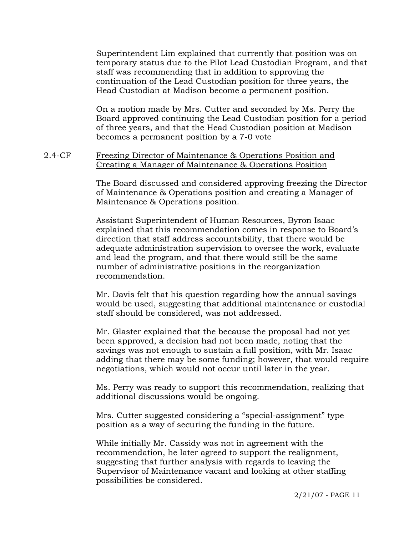Superintendent Lim explained that currently that position was on temporary status due to the Pilot Lead Custodian Program, and that staff was recommending that in addition to approving the continuation of the Lead Custodian position for three years, the Head Custodian at Madison become a permanent position.

On a motion made by Mrs. Cutter and seconded by Ms. Perry the Board approved continuing the Lead Custodian position for a period of three years, and that the Head Custodian position at Madison becomes a permanent position by a 7-0 vote

### 2.4-CF Freezing Director of Maintenance & Operations Position and Creating a Manager of Maintenance & Operations Position

The Board discussed and considered approving freezing the Director of Maintenance & Operations position and creating a Manager of Maintenance & Operations position.

Assistant Superintendent of Human Resources, Byron Isaac explained that this recommendation comes in response to Board's direction that staff address accountability, that there would be adequate administration supervision to oversee the work, evaluate and lead the program, and that there would still be the same number of administrative positions in the reorganization recommendation.

Mr. Davis felt that his question regarding how the annual savings would be used, suggesting that additional maintenance or custodial staff should be considered, was not addressed.

Mr. Glaster explained that the because the proposal had not yet been approved, a decision had not been made, noting that the savings was not enough to sustain a full position, with Mr. Isaac adding that there may be some funding; however, that would require negotiations, which would not occur until later in the year.

Ms. Perry was ready to support this recommendation, realizing that additional discussions would be ongoing.

Mrs. Cutter suggested considering a "special-assignment" type position as a way of securing the funding in the future.

While initially Mr. Cassidy was not in agreement with the recommendation, he later agreed to support the realignment, suggesting that further analysis with regards to leaving the Supervisor of Maintenance vacant and looking at other staffing possibilities be considered.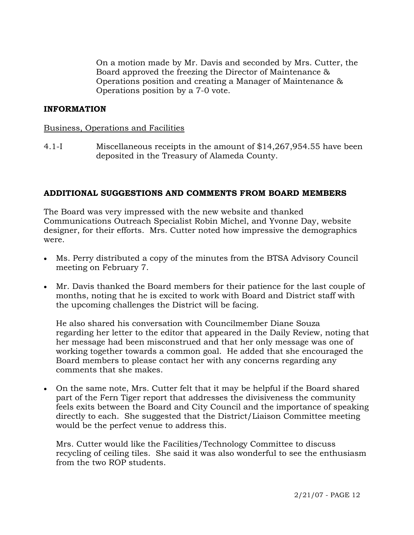On a motion made by Mr. Davis and seconded by Mrs. Cutter, the Board approved the freezing the Director of Maintenance & Operations position and creating a Manager of Maintenance & Operations position by a 7-0 vote.

# **INFORMATION**

#### Business, Operations and Facilities

4.1-I Miscellaneous receipts in the amount of \$14,267,954.55 have been deposited in the Treasury of Alameda County.

### **ADDITIONAL SUGGESTIONS AND COMMENTS FROM BOARD MEMBERS**

The Board was very impressed with the new website and thanked Communications Outreach Specialist Robin Michel, and Yvonne Day, website designer, for their efforts. Mrs. Cutter noted how impressive the demographics were.

- Ms. Perry distributed a copy of the minutes from the BTSA Advisory Council meeting on February 7.
- Mr. Davis thanked the Board members for their patience for the last couple of months, noting that he is excited to work with Board and District staff with the upcoming challenges the District will be facing.

 He also shared his conversation with Councilmember Diane Souza regarding her letter to the editor that appeared in the Daily Review, noting that her message had been misconstrued and that her only message was one of working together towards a common goal. He added that she encouraged the Board members to please contact her with any concerns regarding any comments that she makes.

• On the same note, Mrs. Cutter felt that it may be helpful if the Board shared part of the Fern Tiger report that addresses the divisiveness the community feels exits between the Board and City Council and the importance of speaking directly to each. She suggested that the District/Liaison Committee meeting would be the perfect venue to address this.

 Mrs. Cutter would like the Facilities/Technology Committee to discuss recycling of ceiling tiles. She said it was also wonderful to see the enthusiasm from the two ROP students.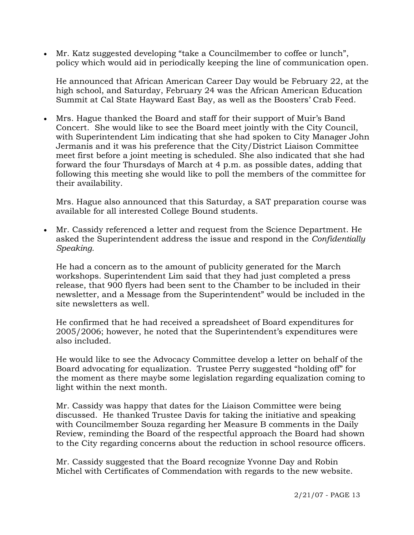• Mr. Katz suggested developing "take a Councilmember to coffee or lunch", policy which would aid in periodically keeping the line of communication open.

 He announced that African American Career Day would be February 22, at the high school, and Saturday, February 24 was the African American Education Summit at Cal State Hayward East Bay, as well as the Boosters' Crab Feed.

• Mrs. Hague thanked the Board and staff for their support of Muir's Band Concert. She would like to see the Board meet jointly with the City Council, with Superintendent Lim indicating that she had spoken to City Manager John Jermanis and it was his preference that the City/District Liaison Committee meet first before a joint meeting is scheduled. She also indicated that she had forward the four Thursdays of March at 4 p.m. as possible dates, adding that following this meeting she would like to poll the members of the committee for their availability.

 Mrs. Hague also announced that this Saturday, a SAT preparation course was available for all interested College Bound students.

• Mr. Cassidy referenced a letter and request from the Science Department. He asked the Superintendent address the issue and respond in the *Confidentially Speaking.*

 He had a concern as to the amount of publicity generated for the March workshops. Superintendent Lim said that they had just completed a press release, that 900 flyers had been sent to the Chamber to be included in their newsletter, and a Message from the Superintendent" would be included in the site newsletters as well.

 He confirmed that he had received a spreadsheet of Board expenditures for 2005/2006; however, he noted that the Superintendent's expenditures were also included.

 He would like to see the Advocacy Committee develop a letter on behalf of the Board advocating for equalization. Trustee Perry suggested "holding off" for the moment as there maybe some legislation regarding equalization coming to light within the next month.

 Mr. Cassidy was happy that dates for the Liaison Committee were being discussed. He thanked Trustee Davis for taking the initiative and speaking with Councilmember Souza regarding her Measure B comments in the Daily Review, reminding the Board of the respectful approach the Board had shown to the City regarding concerns about the reduction in school resource officers.

 Mr. Cassidy suggested that the Board recognize Yvonne Day and Robin Michel with Certificates of Commendation with regards to the new website.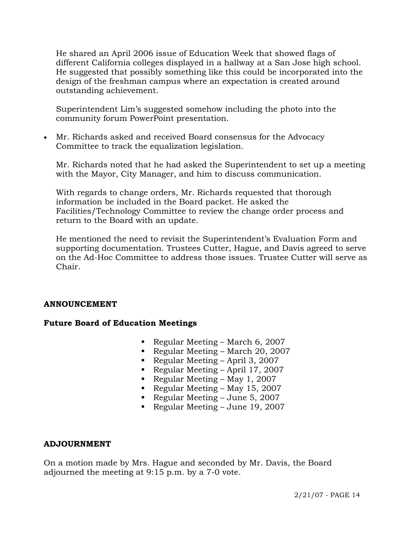He shared an April 2006 issue of Education Week that showed flags of different California colleges displayed in a hallway at a San Jose high school. He suggested that possibly something like this could be incorporated into the design of the freshman campus where an expectation is created around outstanding achievement.

 Superintendent Lim's suggested somehow including the photo into the community forum PowerPoint presentation.

• Mr. Richards asked and received Board consensus for the Advocacy Committee to track the equalization legislation.

 Mr. Richards noted that he had asked the Superintendent to set up a meeting with the Mayor, City Manager, and him to discuss communication.

 With regards to change orders, Mr. Richards requested that thorough information be included in the Board packet. He asked the Facilities/Technology Committee to review the change order process and return to the Board with an update.

 He mentioned the need to revisit the Superintendent's Evaluation Form and supporting documentation. Trustees Cutter, Hague, and Davis agreed to serve on the Ad-Hoc Committee to address those issues. Trustee Cutter will serve as Chair.

# **ANNOUNCEMENT**

# **Future Board of Education Meetings**

- Regular Meeting March 6, 2007
- Regular Meeting March 20, 2007
- Regular Meeting April 3, 2007
- Regular Meeting April 17, 2007
- Regular Meeting May 1, 2007
- Regular Meeting May 15, 2007
- Regular Meeting June 5, 2007
- Regular Meeting June 19, 2007

# **ADJOURNMENT**

On a motion made by Mrs. Hague and seconded by Mr. Davis, the Board adjourned the meeting at 9:15 p.m. by a 7-0 vote.